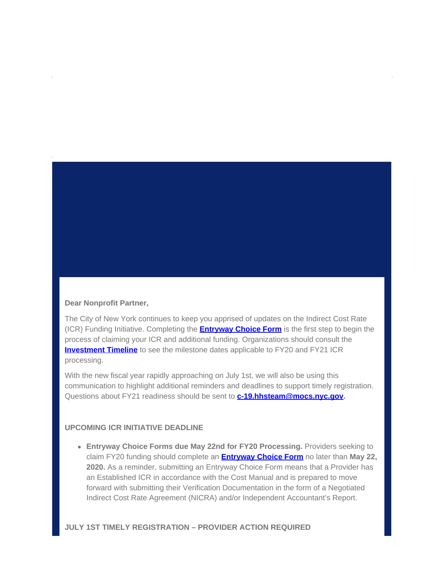## **Dear Nonprofit Partner,**

The City of New York continues to keep you apprised of updates on the Indirect Cost Rate (ICR) Funding Initiative. Completing the **[Entryway Choice Form](https://gcc01.safelinks.protection.outlook.com/?url=https%3A%2F%2Fwww1.nyc.gov%2Fsite%2Fnonprofits%2Ffunded-providers%2Findirect-entryway-choice-form.page%3Futm_medium%3Demail%26utm_source%3Dgovdelivery&data=02%7C01%7Coluwa.small%40mocs.nyc.gov%7Ca51a923e674949cbdcd808d7fc109152%7C32f56fc75f814e22a95b15da66513bef%7C0%7C0%7C637255021345135190&sdata=GYWgEanPUw%2F2%2Bvfm8tbD2d8oVk9j4ERTVl4NhxqUcQ8%3D&reserved=0)** is the first step to begin the process of claiming your ICR and additional funding. Organizations should consult the **[Investment Timeline](https://gcc01.safelinks.protection.outlook.com/?url=https%3A%2F%2Fwww1.nyc.gov%2Fassets%2Fnonprofits%2Fdownloads%2Fpdf%2FInvestment%2520Timeline.pdf%3Futm_medium%3Demail%26utm_source%3Dgovdelivery&data=02%7C01%7Coluwa.small%40mocs.nyc.gov%7Ca51a923e674949cbdcd808d7fc109152%7C32f56fc75f814e22a95b15da66513bef%7C0%7C0%7C637255021345135190&sdata=X4xdTXWdwSLrhXVp2hXc%2FioOm9w8r9Ov6M4duONUvUw%3D&reserved=0)** to see the milestone dates applicable to FY20 and FY21 ICR processing.

With the new fiscal year rapidly approaching on July 1st, we will also be using this communication to highlight additional reminders and deadlines to support timely registration. Questions about FY21 readiness should be sent to **[c-19.hhsteam@mocs.nyc.gov](mailto:c-19.hhsteam@mocs.nyc.gov).**

## **UPCOMING ICR INITIATIVE DEADLINE**

**Entryway Choice Forms due May 22nd for FY20 Processing.** Providers seeking to claim FY20 funding should complete an **[Entryway Choice Form](https://gcc01.safelinks.protection.outlook.com/?url=https%3A%2F%2Fwww1.nyc.gov%2Fsite%2Fnonprofits%2Ffunded-providers%2Findirect-entryway-choice-form.page%3Futm_medium%3Demail%26utm_source%3Dgovdelivery&data=02%7C01%7Coluwa.small%40mocs.nyc.gov%7Ca51a923e674949cbdcd808d7fc109152%7C32f56fc75f814e22a95b15da66513bef%7C0%7C0%7C637255021345145146&sdata=aYGSZsTbeo0r6z%2BrKuSHbXyvIZrSHhm7xiQMFDYoFWI%3D&reserved=0)** no later than **May 22, 2020.** As a reminder, submitting an Entryway Choice Form means that a Provider has an Established ICR in accordance with the Cost Manual and is prepared to move forward with submitting their Verification Documentation in the form of a Negotiated Indirect Cost Rate Agreement (NICRA) and/or Independent Accountant's Report.

## **JULY 1ST TIMELY REGISTRATION – PROVIDER ACTION REQUIRED**